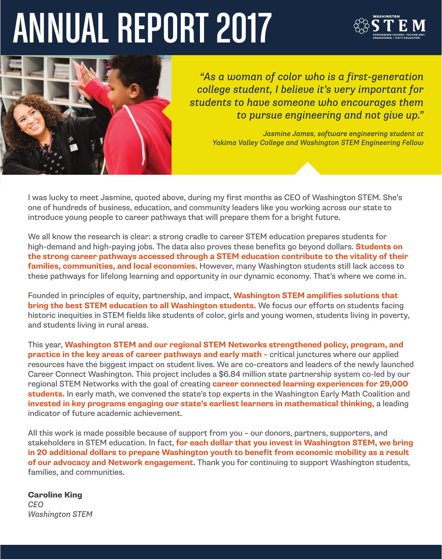# ANNUAL REPORT 2017





*"As a woman of color who is a first-generation college student, I believe it's very important for students to have someone who encourages them to pursue engineering and not give up."*

*Jasmine James, software engineering student at Yakima Valley College and Washington STEM Engineering Fellow*

I was lucky to meet Jasmine, quoted above, during my first months as CEO of Washington STEM. She's one of hundreds of business, education, and community leaders like you working across our state to introduce young people to career pathways that will prepare them for a bright future.

We all know the research is clear: a strong cradle to career STEM education prepares students for high-demand and high-paying jobs. The data also proves these benefits go beyond dollars. **Students on the strong career pathways accessed through a STEM education contribute to the vitality of their families, communities, and local economies.** However, many Washington students still lack access to these pathways for lifelong learning and opportunity in our dynamic economy. That's where we come in.

Founded in principles of equity, partnership, and impact, **Washington STEM amplifies solutions that bring the best STEM education to all Washington students.** We focus our efforts on students facing historic inequities in STEM fields like students of color, girls and young women, students living in poverty, and students living in rural areas.

This year, **Washington STEM and our regional STEM Networks strengthened policy, program, and practice in the key areas of career pathways and early math** – critical junctures where our applied resources have the biggest impact on student lives. We are co-creators and leaders of the newly launched Career Connect Washington. This project includes a \$6.84 million state partnership system co-led by our regional STEM Networks with the goal of creating **career connected learning experiences for 29,000 students.** In early math, we convened the state's top experts in the Washington Early Math Coalition and **invested in key programs engaging our state's earliest learners in mathematical thinking,** a leading indicator of future academic achievement.

All this work is made possible because of support from you – our donors, partners, supporters, and stakeholders in STEM education. In fact, **for each dollar that you invest in Washington STEM, we bring in 20 additional dollars to prepare Washington youth to benefit from economic mobility as a result of our advocacy and Network engagement.** Thank you for continuing to support Washington students, families, and communities.

Caroline King *CEO Washington STEM*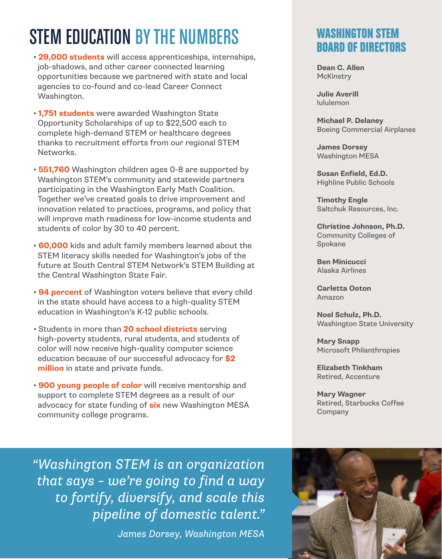# STEM EDUCATION BY THE NUMBERS

- **29,000 students** will access apprenticeships, internships, job-shadows, and other career connected learning opportunities because we partnered with state and local agencies to co-found and co-lead Career Connect Washington.
- **1,751 students** were awarded Washington State Opportunity Scholarships of up to \$22,500 each to complete high-demand STEM or healthcare degrees thanks to recruitment efforts from our regional STEM Networks.
- **551,760** Washington children ages 0-8 are supported by Washington STEM's community and statewide partners participating in the Washington Early Math Coalition. Together we've created goals to drive improvement and innovation related to practices, programs, and policy that will improve math readiness for low-income students and students of color by 30 to 40 percent.
- **60,000** kids and adult family members learned about the STEM literacy skills needed for Washington's jobs of the future at South Central STEM Network's STEM Building at the Central Washington State Fair.
- **94 percent** of Washington voters believe that every child in the state should have access to a high-quality STEM education in Washington's K-12 public schools.
- Students in more than **20 school districts** serving high-poverty students, rural students, and students of color will now receive high-quality computer science education because of our successful advocacy for **\$2 million** in state and private funds.
- **900 young people of color** will receive mentorship and support to complete STEM degrees as a result of our advocacy for state funding of **six** new Washington MESA community college programs.

### WASHINGTON STEM BOARD OF DIRECTORS

**Dean C. Allen McKinstrv** 

**Julie Averill** lululemon

**Michael P. Delaney** Boeing Commercial Airplanes

**James Dorsey** Washington MESA

**Susan Enfield, Ed.D.** Highline Public Schools

**Timothy Engle** Saltchuk Resources, Inc.

**Christine Johnson, Ph.D.** Community Colleges of Spokane

**Ben Minicucci** Alaska Airlines

**Carletta Ooton** Amazon

**Noel Schulz, Ph.D.** Washington State University

**Mary Snapp** Microsoft Philanthropies

**Elizabeth Tinkham** Retired, Accenture

**Mary Wagner** Retired, Starbucks Coffee Company

*"Washington STEM is an organization that says – we're going to find a way to fortify, diversify, and scale this pipeline of domestic talent."*

*James Dorsey, Washington MESA* 

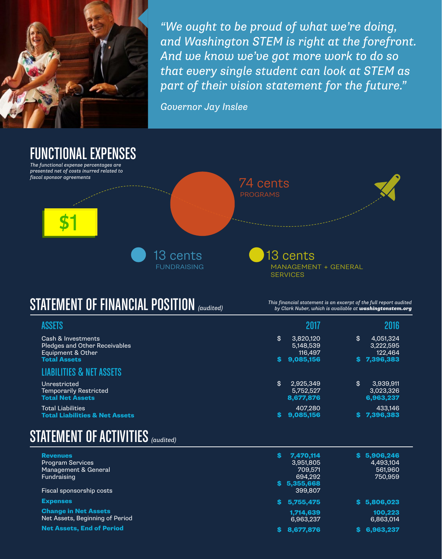

*"We ought to be proud of what we're doing, and Washington STEM is right at the forefront. And we know we've got more work to do so that every single student can look at STEM as part of their vision statement for the future."*

*Governor Jay Inslee*



# STATEMENT OF FINANCIAL POSITION*(audited)*

*This financial statement is an excerpt of the full report audited by Clark Nuber, which is available at washingtonstem.org*

| <b>ASSETS</b>                                                                                          | 2017                                                 |     | 2016                                             |
|--------------------------------------------------------------------------------------------------------|------------------------------------------------------|-----|--------------------------------------------------|
| Cash & Investments<br><b>Pledges and Other Receivables</b><br>Equipment & Other<br><b>Total Assets</b> | \$<br>3.820.120<br>5,148,539<br>116.497<br>9,085,156 | \$  | 4.051.324<br>3,222,595<br>122.464<br>\$7,396,383 |
| <b>LIABILITIES &amp; NET ASSETS</b>                                                                    |                                                      |     |                                                  |
| Unrestricted<br><b>Temporarily Restricted</b><br><b>Total Net Assets</b>                               | \$<br>2,925,349<br>5.752.527<br>8,677,876            | \$  | 3,939,911<br>3,023,326<br>6,963,237              |
| <b>Total Liabilities</b><br><b>Total Liabilities &amp; Net Assets</b>                                  | 407.280<br>9,085,156                                 | SS. | 433.146<br>7,396,383                             |

# STATEMENT OF ACTIVITIES*(audited)*

| <b>Revenues</b><br><b>Program Services</b>                     | 7,470,114<br>S.<br>3.951.805 | 5,906,246<br>S.<br>4,493,104 |
|----------------------------------------------------------------|------------------------------|------------------------------|
| Management & General                                           | 709.571                      | 561,960                      |
| Fundraising                                                    | 694.292                      | 750,959                      |
|                                                                | 5,355,668<br>S.              |                              |
| Fiscal sponsorship costs                                       | 399.807                      |                              |
| <b>Expenses</b>                                                | 5,755,475                    | 5,806,023<br>S.              |
| <b>Change in Net Assets</b><br>Net Assets, Beginning of Period | 1,714,639<br>6,963,237       | 100.223<br>6,863,014         |
| <b>Net Assets, End of Period</b>                               | 8.677.876                    | 6,963,237                    |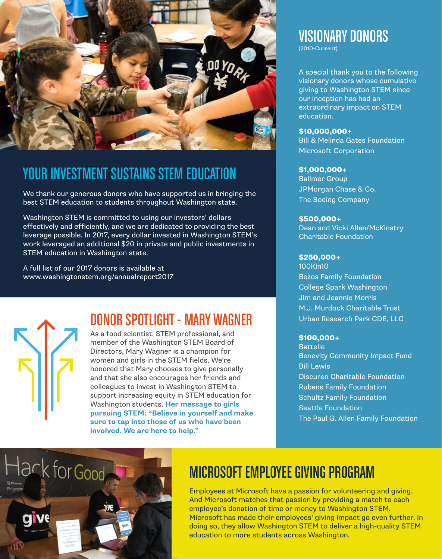

## YOUR INVESTMENT SUSTAINS STEM EDUCATION

We thank our generous donors who have supported us in bringing the best STEM education to students throughout Washington state.

Washington STEM is committed to using our investors' dollars effectively and efficiently, and we are dedicated to providing the best leverage possible. In 2017, every dollar invested in Washington STEM's work leveraged an additional \$20 in private and public investments in STEM education in Washington state.

A full list of our 2017 donors is available at www.washingtonstem.org/annualreport2017

# DONOR SPOTLIGHT - MARY WAGNER

As a food scientist, STEM professional, and member of the Washington STEM Board of Directors, Mary Wagner is a champion for women and girls in the STEM fields. We're honored that Mary chooses to give personally and that she also encourages her friends and colleagues to invest in Washington STEM to support increasing equity in STEM education for Washington students. **Her message to girls pursuing STEM: "Believe in yourself and make sure to tap into those of us who have been involved. We are here to help."**

# VISIONARY DONORS

(2010-Current)

A special thank you to the following visionary donors whose cumulative giving to Washington STEM since our inception has had an extraordinary impact on STEM education.

#### \$10,000,000+

Bill & Melinda Gates Foundation Microsoft Corporation

#### \$1,000,000+

Ballmer Group JPMorgan Chase & Co. The Boeing Company

#### \$500,000+

Dean and Vicki Allen/McKinstry Charitable Foundation

#### \$250,000+

100Kin10 Bezos Family Foundation College Spark Washington Jim and Jeannie Morris M.J. Murdock Charitable Trust Urban Research Park CDE, LLC

#### \$100,000+

Battelle Benevity Community Impact Fund Bill Lewis Discuren Charitable Foundation Rubens Family Foundation Schultz Family Foundation Seattle Foundation The Paul G. Allen Family Foundation



# MICROSOFT EMPLOYEE GIVING PROGRAM

Employees at Microsoft have a passion for volunteering and giving. And Microsoft matches that passion by providing a match to each employee's donation of time or money to Washington STEM. Microsoft has made their employees' giving impact go even further. In doing so, they allow Washington STEM to deliver a high-quality STEM education to more students across Washington.